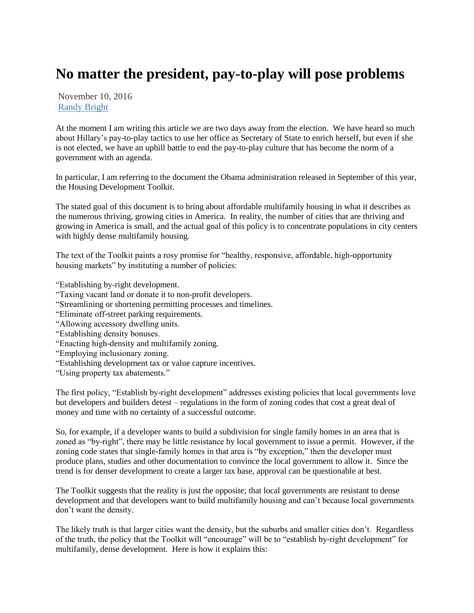## **No matter the president, pay-to-play will pose problems**

November 10, 2016 [Randy Bright](http://tulsabeacon.com/author/randy-bright/)

At the moment I am writing this article we are two days away from the election. We have heard so much about Hillary's pay-to-play tactics to use her office as Secretary of State to enrich herself, but even if she is not elected, we have an uphill battle to end the pay-to-play culture that has become the norm of a government with an agenda.

In particular, I am referring to the document the Obama administration released in September of this year, the Housing Development Toolkit.

The stated goal of this document is to bring about affordable multifamily housing in what it describes as the numerous thriving, growing cities in America. In reality, the number of cities that are thriving and growing in America is small, and the actual goal of this policy is to concentrate populations in city centers with highly dense multifamily housing.

The text of the Toolkit paints a rosy promise for "healthy, responsive, affordable, high-opportunity housing markets" by instituting a number of policies:

"Establishing by-right development.

- "Taxing vacant land or donate it to non-profit developers.
- "Streamlining or shortening permitting processes and timelines.
- "Eliminate off-street parking requirements.
- "Allowing accessory dwelling units.
- "Establishing density bonuses.
- "Enacting high-density and multifamily zoning.
- "Employing inclusionary zoning.
- "Establishing development tax or value capture incentives.
- "Using property tax abatements."

The first policy, "Establish by-right development" addresses existing policies that local governments love but developers and builders detest – regulations in the form of zoning codes that cost a great deal of money and time with no certainty of a successful outcome.

So, for example, if a developer wants to build a subdivision for single family homes in an area that is zoned as "by-right", there may be little resistance by local government to issue a permit. However, if the zoning code states that single-family homes in that area is "by exception," then the developer must produce plans, studies and other documentation to convince the local government to allow it. Since the trend is for denser development to create a larger tax base, approval can be questionable at best.

The Toolkit suggests that the reality is just the opposite; that local governments are resistant to dense development and that developers want to build multifamily housing and can't because local governments don't want the density.

The likely truth is that larger cities want the density, but the suburbs and smaller cities don't. Regardless of the truth, the policy that the Toolkit will "encourage" will be to "establish by-right development" for multifamily, dense development. Here is how it explains this: